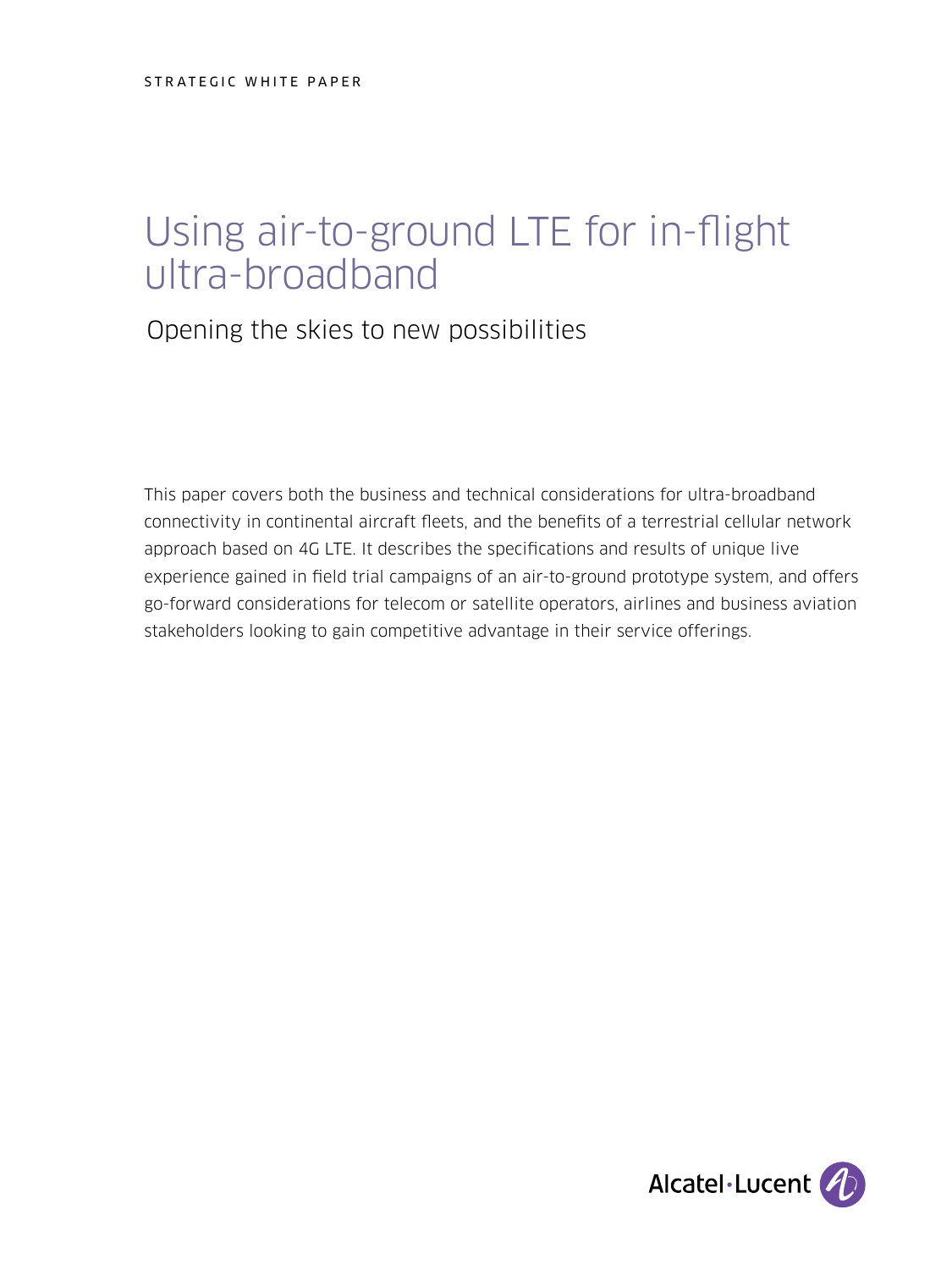# Using air-to-ground LTE for in-flight ultra-broadband

Opening the skies to new possibilities

This paper covers both the business and technical considerations for ultra-broadband connectivity in continental aircraft fleets, and the benefits of a terrestrial cellular network approach based on 4G LTE. It describes the specifications and results of unique live experience gained in field trial campaigns of an air-to-ground prototype system, and offers go-forward considerations for telecom or satellite operators, airlines and business aviation stakeholders looking to gain competitive advantage in their service offerings.

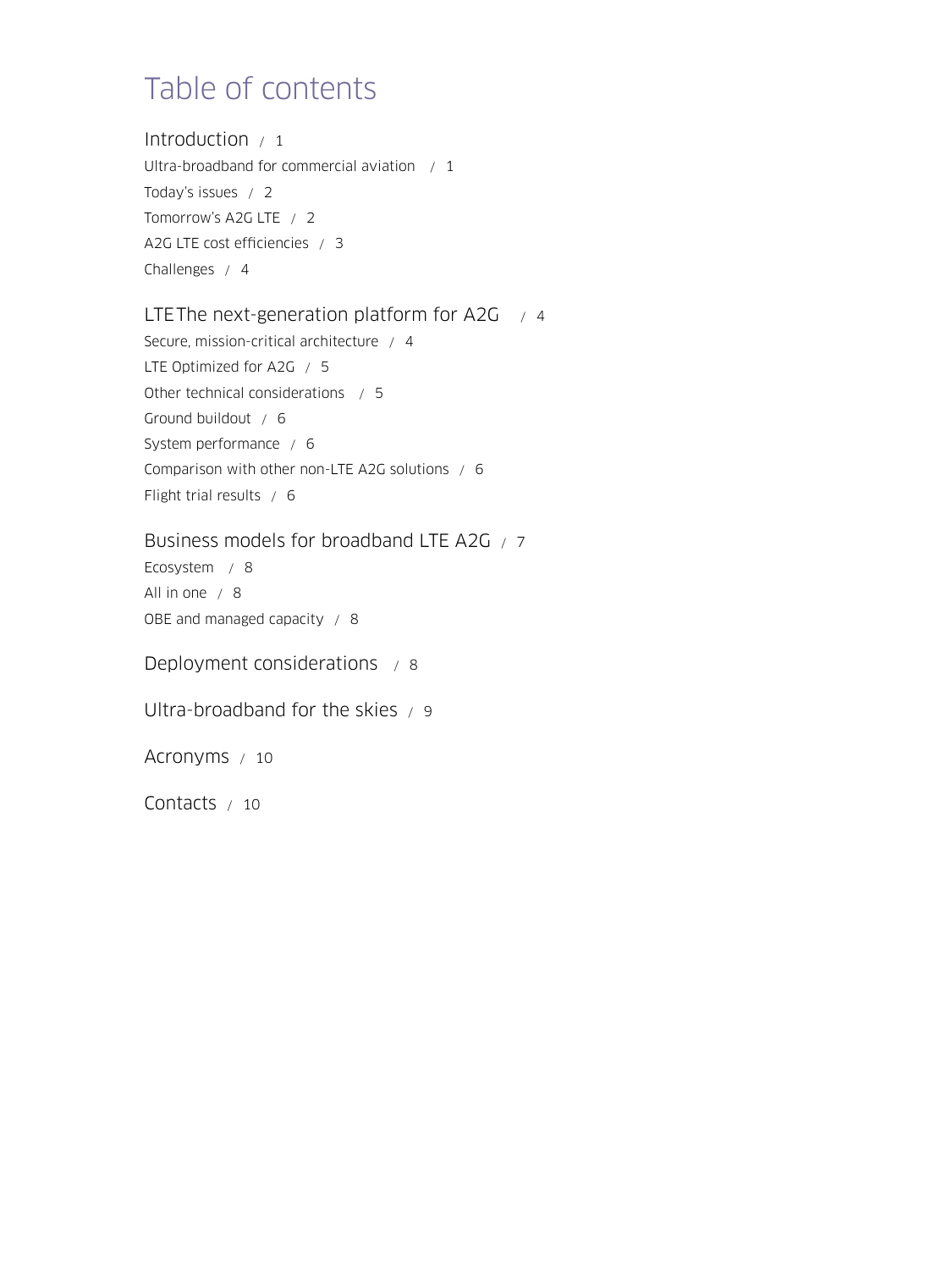## Table of contents

Introduction  $/1$ [Ultra-broadband for commercial aviation / 1](#page-2-0) [Today's issues / 2](#page-3-0) [Tomorrow's A2G LTE / 2](#page-3-0) [A2G LTE cost efficiencies / 3](#page-4-0) [Challenges / 4](#page-5-0)

#### LTEThe next-generation platform for A2G  $/4$

[Secure, mission-critical architecture / 4](#page-5-0) [LTE Optimized for A2G / 5](#page-6-0) [Other technical considerations / 5](#page-6-0) [Ground buildout / 6](#page-7-0) [System performance / 6](#page-7-0) [Comparison with other non-LTE A2G solutions / 6](#page-7-0) [Flight trial results / 6](#page-7-0)

[Business models for broadband LTE A2G / 7](#page-8-0) [Ecosystem / 8](#page-9-0) [All in one / 8](#page-9-0)

[OBE and managed capacity / 8](#page-9-0)

[Deployment considerations / 8](#page-9-0)

[Ultra-broadband for the skies / 9](#page-10-0)

[Acronyms / 10](#page-11-0)

[Contacts / 10](#page-11-0)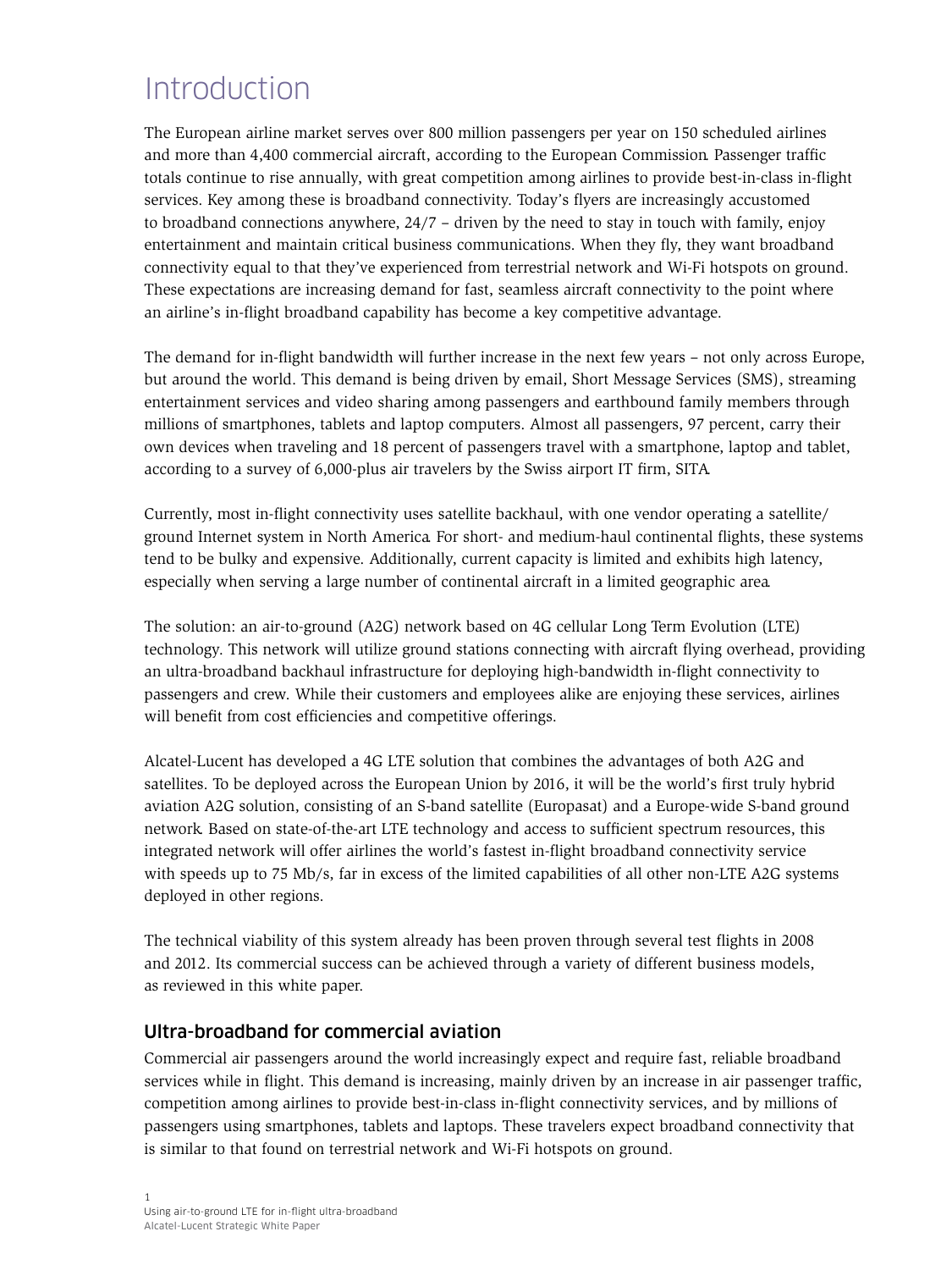### <span id="page-2-0"></span>**Introduction**

The European airline market serves over 800 million passengers per year on 150 scheduled airlines and more than 4,400 commercial aircraft, according to the European Commission. Passenger traffic totals continue to rise annually, with great competition among airlines to provide best-in-class in-flight services. Key among these is broadband connectivity. Today's flyers are increasingly accustomed to broadband connections anywhere, 24/7 – driven by the need to stay in touch with family, enjoy entertainment and maintain critical business communications. When they fly, they want broadband connectivity equal to that they've experienced from terrestrial network and Wi-Fi hotspots on ground. These expectations are increasing demand for fast, seamless aircraft connectivity to the point where an airline's in-flight broadband capability has become a key competitive advantage.

The demand for in-flight bandwidth will further increase in the next few years – not only across Europe, but around the world. This demand is being driven by email, Short Message Services (SMS), streaming entertainment services and video sharing among passengers and earthbound family members through millions of smartphones, tablets and laptop computers. Almost all passengers, 97 percent, carry their own devices when traveling and 18 percent of passengers travel with a smartphone, laptop and tablet, according to a survey of 6,000-plus air travelers by the Swiss airport IT firm, SITA.

Currently, most in-flight connectivity uses satellite backhaul, with one vendor operating a satellite/ ground Internet system in North America. For short- and medium-haul continental flights, these systems tend to be bulky and expensive. Additionally, current capacity is limited and exhibits high latency, especially when serving a large number of continental aircraft in a limited geographic area.

The solution: an air-to-ground (A2G) network based on 4G cellular Long Term Evolution (LTE) technology. This network will utilize ground stations connecting with aircraft flying overhead, providing an ultra-broadband backhaul infrastructure for deploying high-bandwidth in-flight connectivity to passengers and crew. While their customers and employees alike are enjoying these services, airlines will benefit from cost efficiencies and competitive offerings.

Alcatel-Lucent has developed a 4G LTE solution that combines the advantages of both A2G and satellites. To be deployed across the European Union by 2016, it will be the world's first truly hybrid aviation A2G solution, consisting of an S-band satellite (Europasat) and a Europe-wide S-band ground network. Based on state-of-the-art LTE technology and access to sufficient spectrum resources, this integrated network will offer airlines the world's fastest in-flight broadband connectivity service with speeds up to 75 Mb/s, far in excess of the limited capabilities of all other non-LTE A2G systems deployed in other regions.

The technical viability of this system already has been proven through several test flights in 2008 and 2012. Its commercial success can be achieved through a variety of different business models, as reviewed in this white paper.

#### Ultra-broadband for commercial aviation

Commercial air passengers around the world increasingly expect and require fast, reliable broadband services while in flight. This demand is increasing, mainly driven by an increase in air passenger traffic, competition among airlines to provide best-in-class in-flight connectivity services, and by millions of passengers using smartphones, tablets and laptops. These travelers expect broadband connectivity that is similar to that found on terrestrial network and Wi-Fi hotspots on ground.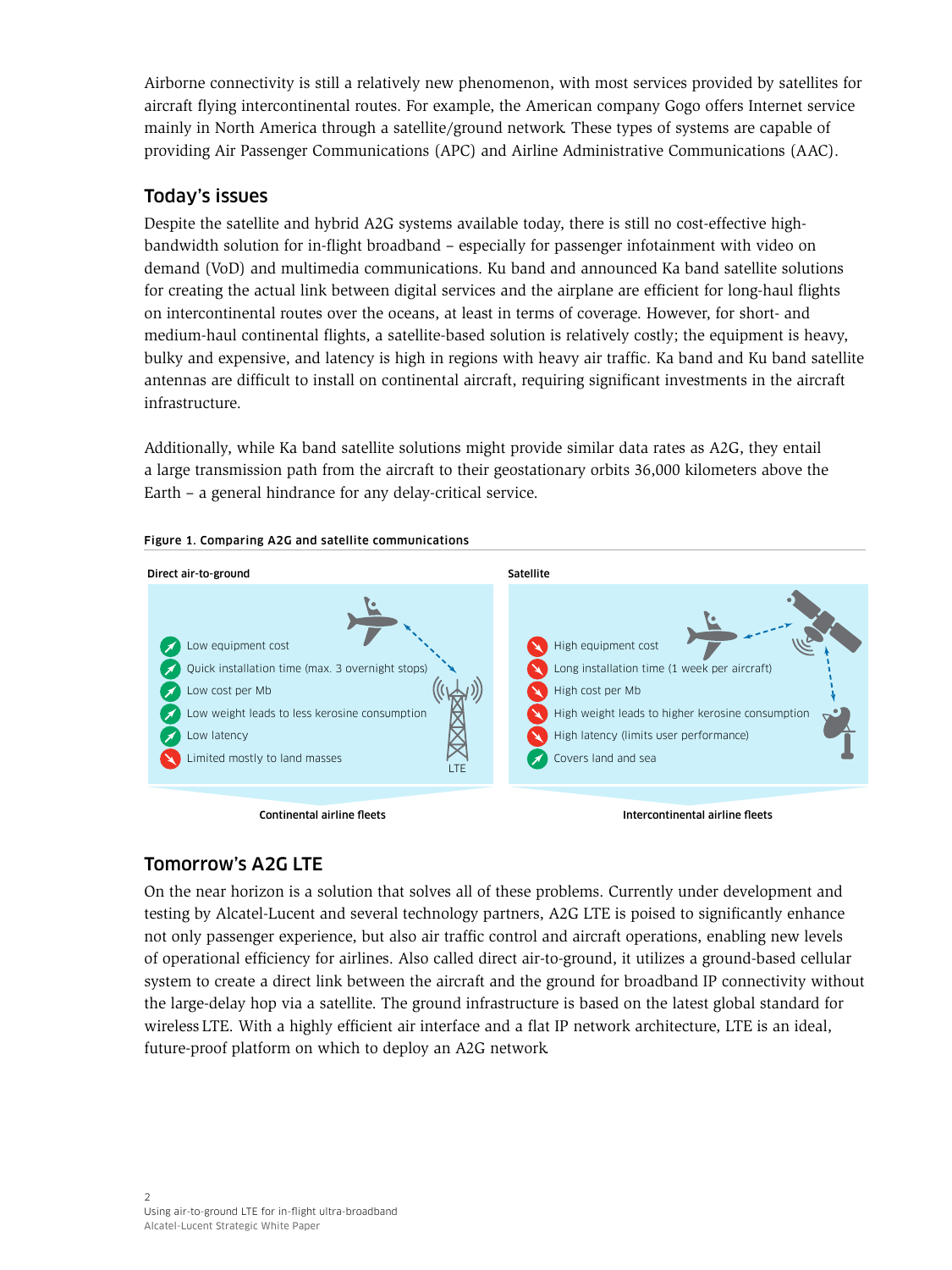<span id="page-3-0"></span>Airborne connectivity is still a relatively new phenomenon, with most services provided by satellites for aircraft flying intercontinental routes. For example, the American company Gogo offers Internet service mainly in North America through a satellite/ground network. These types of systems are capable of providing Air Passenger Communications (APC) and Airline Administrative Communications (AAC).

#### Today's issues

Despite the satellite and hybrid A2G systems available today, there is still no cost-effective highbandwidth solution for in-flight broadband – especially for passenger infotainment with video on demand (VoD) and multimedia communications. Ku band and announced Ka band satellite solutions for creating the actual link between digital services and the airplane are efficient for long-haul flights on intercontinental routes over the oceans, at least in terms of coverage. However, for short- and medium-haul continental flights, a satellite-based solution is relatively costly; the equipment is heavy, bulky and expensive, and latency is high in regions with heavy air traffic. Ka band and Ku band satellite antennas are difficult to install on continental aircraft, requiring significant investments in the aircraft infrastructure.

Additionally, while Ka band satellite solutions might provide similar data rates as A2G, they entail a large transmission path from the aircraft to their geostationary orbits 36,000 kilometers above the Earth – a general hindrance for any delay-critical service.





#### Continental airline fleets

Intercontinental airline fleets

### Tomorrow's A2G LTE

On the near horizon is a solution that solves all of these problems. Currently under development and testing by Alcatel-Lucent and several technology partners, A2G LTE is poised to significantly enhance not only passenger experience, but also air traffic control and aircraft operations, enabling new levels of operational efficiency for airlines. Also called direct air-to-ground, it utilizes a ground-based cellular system to create a direct link between the aircraft and the ground for broadband IP connectivity without the large-delay hop via a satellite. The ground infrastructure is based on the latest global standard for wireless LTE. With a highly efficient air interface and a flat IP network architecture, LTE is an ideal, future-proof platform on which to deploy an A2G network.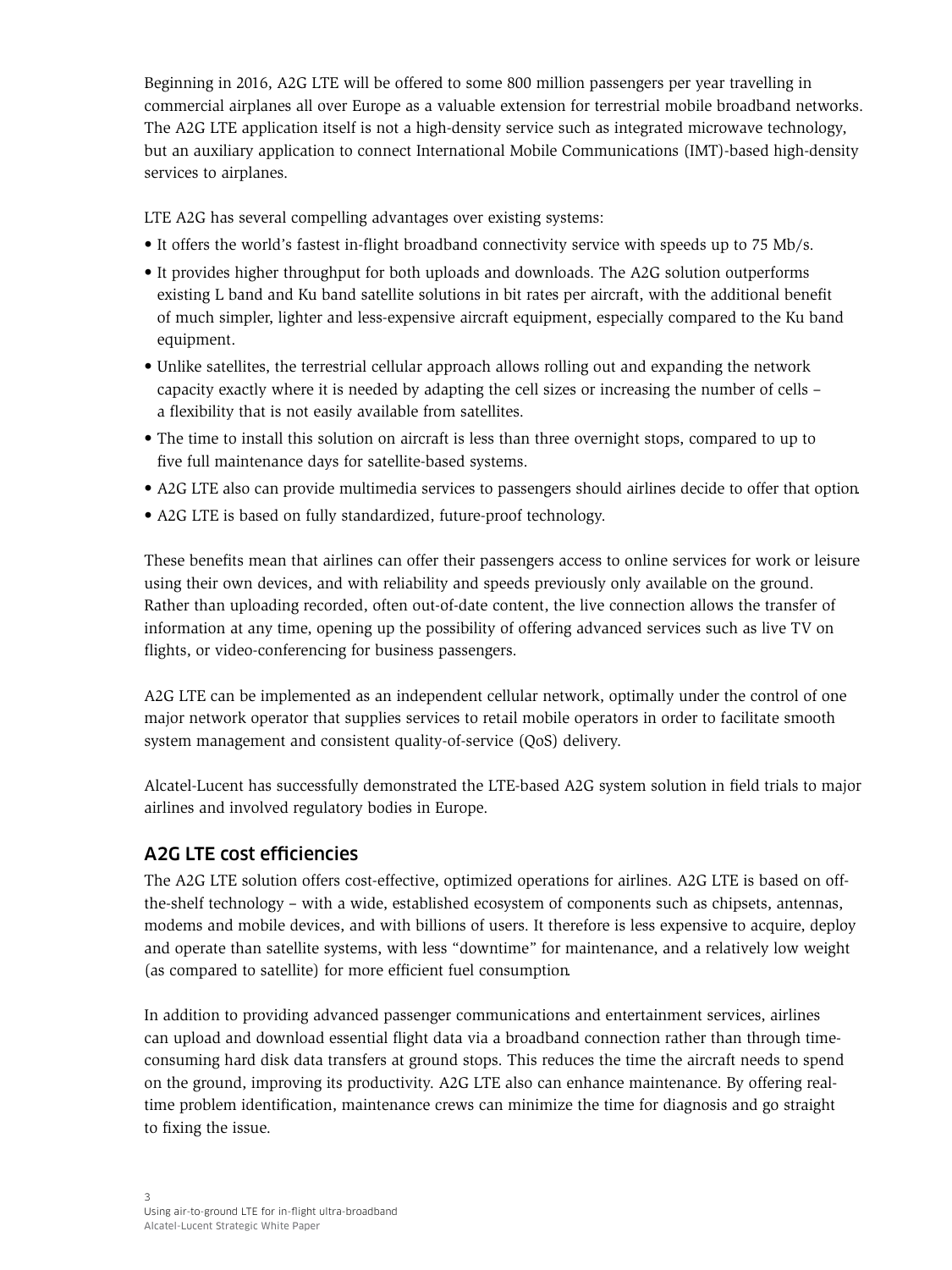<span id="page-4-0"></span>Beginning in 2016, A2G LTE will be offered to some 800 million passengers per year travelling in commercial airplanes all over Europe as a valuable extension for terrestrial mobile broadband networks. The A2G LTE application itself is not a high-density service such as integrated microwave technology, but an auxiliary application to connect International Mobile Communications (IMT)-based high-density services to airplanes.

LTE A2G has several compelling advantages over existing systems:

- It offers the world's fastest in-flight broadband connectivity service with speeds up to 75 Mb/s.
- It provides higher throughput for both uploads and downloads. The A2G solution outperforms existing L band and Ku band satellite solutions in bit rates per aircraft, with the additional benefit of much simpler, lighter and less-expensive aircraft equipment, especially compared to the Ku band equipment.
- Unlike satellites, the terrestrial cellular approach allows rolling out and expanding the network capacity exactly where it is needed by adapting the cell sizes or increasing the number of cells – a flexibility that is not easily available from satellites.
- The time to install this solution on aircraft is less than three overnight stops, compared to up to five full maintenance days for satellite-based systems.
- A2G LTE also can provide multimedia services to passengers should airlines decide to offer that option.
- A2G LTE is based on fully standardized, future-proof technology.

These benefits mean that airlines can offer their passengers access to online services for work or leisure using their own devices, and with reliability and speeds previously only available on the ground. Rather than uploading recorded, often out-of-date content, the live connection allows the transfer of information at any time, opening up the possibility of offering advanced services such as live TV on flights, or video-conferencing for business passengers.

A2G LTE can be implemented as an independent cellular network, optimally under the control of one major network operator that supplies services to retail mobile operators in order to facilitate smooth system management and consistent quality-of-service (QoS) delivery.

Alcatel-Lucent has successfully demonstrated the LTE-based A2G system solution in field trials to major airlines and involved regulatory bodies in Europe.

#### A2G LTE cost efficiencies

The A2G LTE solution offers cost-effective, optimized operations for airlines. A2G LTE is based on offthe-shelf technology – with a wide, established ecosystem of components such as chipsets, antennas, modems and mobile devices, and with billions of users. It therefore is less expensive to acquire, deploy and operate than satellite systems, with less "downtime" for maintenance, and a relatively low weight (as compared to satellite) for more efficient fuel consumption.

In addition to providing advanced passenger communications and entertainment services, airlines can upload and download essential flight data via a broadband connection rather than through timeconsuming hard disk data transfers at ground stops. This reduces the time the aircraft needs to spend on the ground, improving its productivity. A2G LTE also can enhance maintenance. By offering realtime problem identification, maintenance crews can minimize the time for diagnosis and go straight to fixing the issue.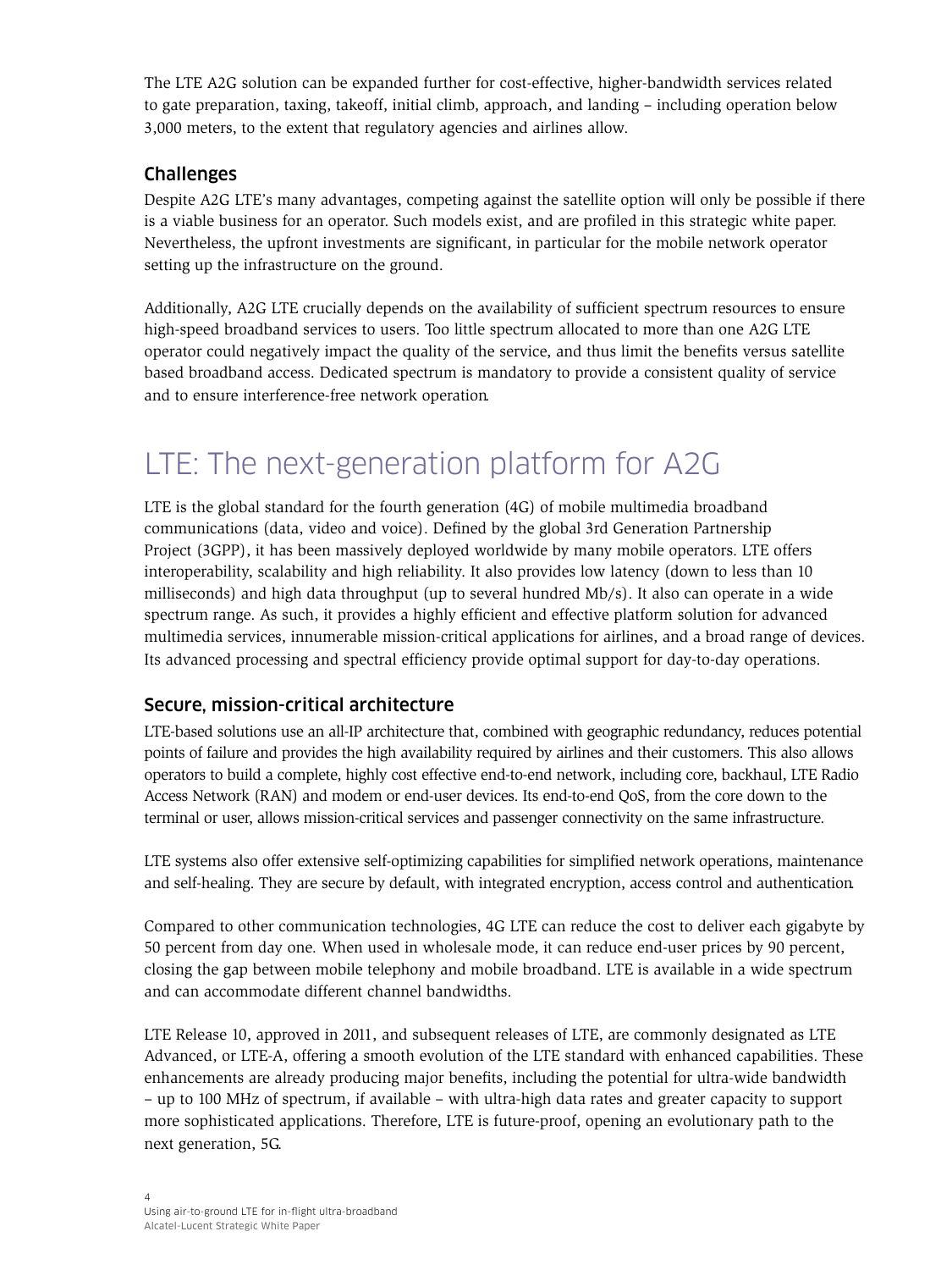<span id="page-5-0"></span>The LTE A2G solution can be expanded further for cost-effective, higher-bandwidth services related to gate preparation, taxing, takeoff, initial climb, approach, and landing – including operation below 3,000 meters, to the extent that regulatory agencies and airlines allow.

#### Challenges

Despite A2G LTE's many advantages, competing against the satellite option will only be possible if there is a viable business for an operator. Such models exist, and are profiled in this strategic white paper. Nevertheless, the upfront investments are significant, in particular for the mobile network operator setting up the infrastructure on the ground.

Additionally, A2G LTE crucially depends on the availability of sufficient spectrum resources to ensure high-speed broadband services to users. Too little spectrum allocated to more than one A2G LTE operator could negatively impact the quality of the service, and thus limit the benefits versus satellite based broadband access. Dedicated spectrum is mandatory to provide a consistent quality of service and to ensure interference-free network operation.

### LTE: The next-generation platform for A2G

LTE is the global standard for the fourth generation (4G) of mobile multimedia broadband communications (data, video and voice). Defined by the global 3rd Generation Partnership Project (3GPP), it has been massively deployed worldwide by many mobile operators. LTE offers interoperability, scalability and high reliability. It also provides low latency (down to less than 10 milliseconds) and high data throughput (up to several hundred Mb/s). It also can operate in a wide spectrum range. As such, it provides a highly efficient and effective platform solution for advanced multimedia services, innumerable mission-critical applications for airlines, and a broad range of devices. Its advanced processing and spectral efficiency provide optimal support for day-to-day operations.

#### Secure, mission-critical architecture

LTE-based solutions use an all-IP architecture that, combined with geographic redundancy, reduces potential points of failure and provides the high availability required by airlines and their customers. This also allows operators to build a complete, highly cost effective end-to-end network, including core, backhaul, LTE Radio Access Network (RAN) and modem or end-user devices. Its end-to-end QoS, from the core down to the terminal or user, allows mission-critical services and passenger connectivity on the same infrastructure.

LTE systems also offer extensive self-optimizing capabilities for simplified network operations, maintenance and self-healing. They are secure by default, with integrated encryption, access control and authentication.

Compared to other communication technologies, 4G LTE can reduce the cost to deliver each gigabyte by 50 percent from day one. When used in wholesale mode, it can reduce end-user prices by 90 percent, closing the gap between mobile telephony and mobile broadband. LTE is available in a wide spectrum and can accommodate different channel bandwidths.

LTE Release 10, approved in 2011, and subsequent releases of LTE, are commonly designated as LTE Advanced, or LTE-A, offering a smooth evolution of the LTE standard with enhanced capabilities. These enhancements are already producing major benefits, including the potential for ultra-wide bandwidth – up to 100 MHz of spectrum, if available – with ultra-high data rates and greater capacity to support more sophisticated applications. Therefore, LTE is future-proof, opening an evolutionary path to the next generation, 5G.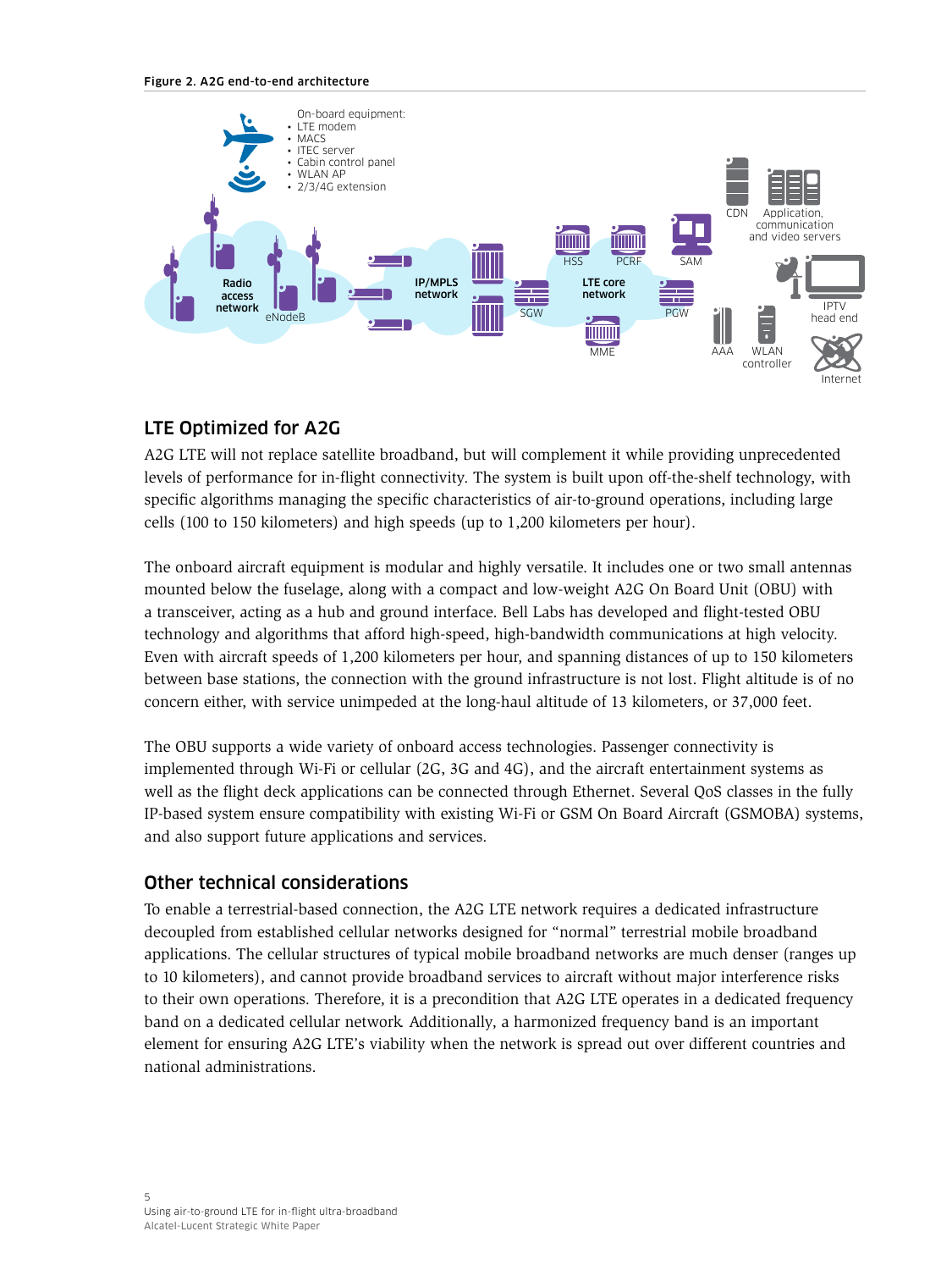#### Figure 2. A2G end-to-end architecture

<span id="page-6-0"></span>

#### LTE Optimized for A2G

A2G LTE will not replace satellite broadband, but will complement it while providing unprecedented levels of performance for in-flight connectivity. The system is built upon off-the-shelf technology, with specific algorithms managing the specific characteristics of air-to-ground operations, including large cells (100 to 150 kilometers) and high speeds (up to 1,200 kilometers per hour).

The onboard aircraft equipment is modular and highly versatile. It includes one or two small antennas mounted below the fuselage, along with a compact and low-weight A2G On Board Unit (OBU) with a transceiver, acting as a hub and ground interface. Bell Labs has developed and flight-tested OBU technology and algorithms that afford high-speed, high-bandwidth communications at high velocity. Even with aircraft speeds of 1,200 kilometers per hour, and spanning distances of up to 150 kilometers between base stations, the connection with the ground infrastructure is not lost. Flight altitude is of no concern either, with service unimpeded at the long-haul altitude of 13 kilometers, or 37,000 feet.

The OBU supports a wide variety of onboard access technologies. Passenger connectivity is implemented through Wi-Fi or cellular (2G, 3G and 4G), and the aircraft entertainment systems as well as the flight deck applications can be connected through Ethernet. Several QoS classes in the fully IP-based system ensure compatibility with existing Wi-Fi or GSM On Board Aircraft (GSMOBA) systems, and also support future applications and services.

#### Other technical considerations

To enable a terrestrial-based connection, the A2G LTE network requires a dedicated infrastructure decoupled from established cellular networks designed for "normal" terrestrial mobile broadband applications. The cellular structures of typical mobile broadband networks are much denser (ranges up to 10 kilometers), and cannot provide broadband services to aircraft without major interference risks to their own operations. Therefore, it is a precondition that A2G LTE operates in a dedicated frequency band on a dedicated cellular network. Additionally, a harmonized frequency band is an important element for ensuring A2G LTE's viability when the network is spread out over different countries and national administrations.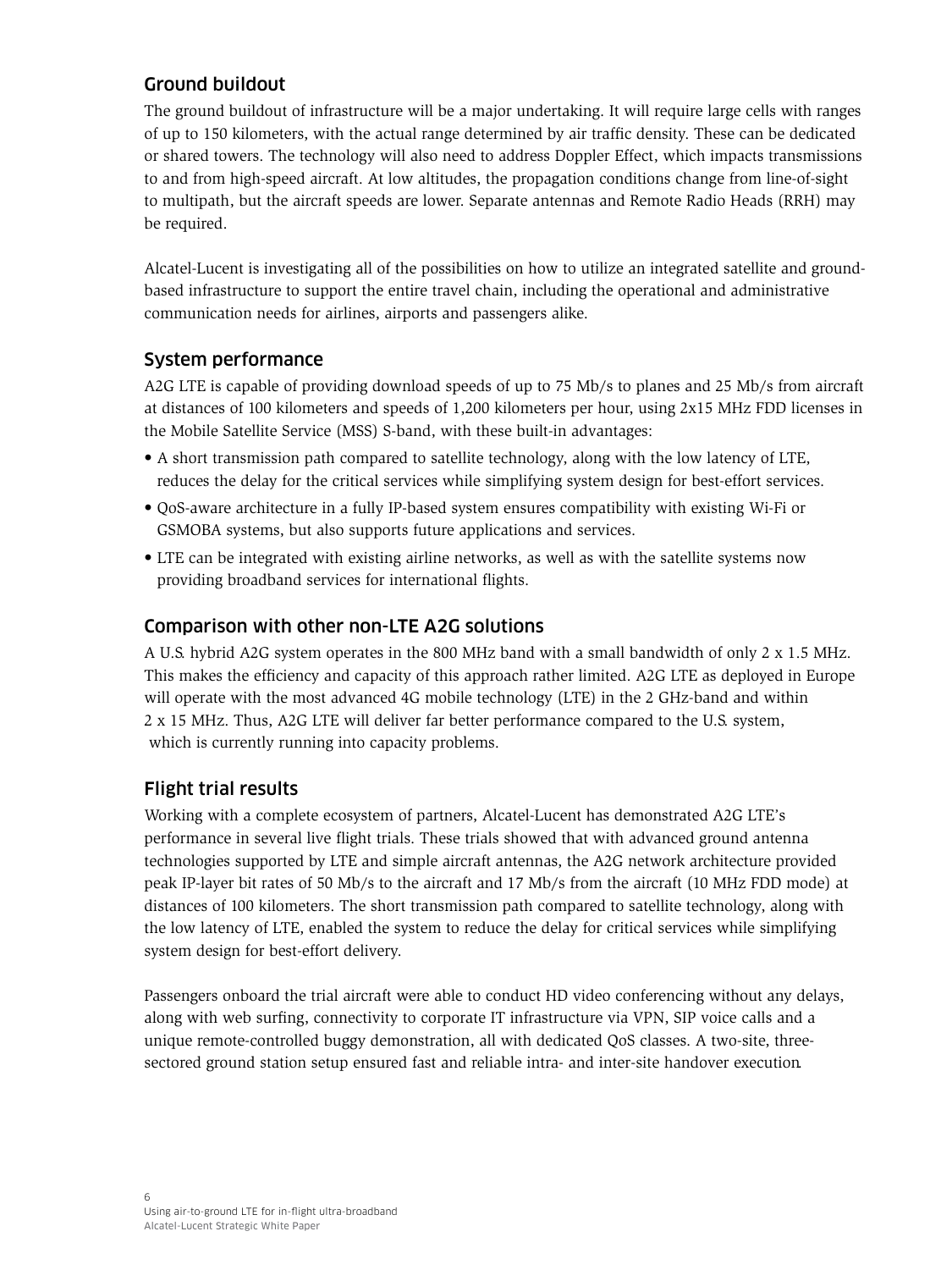#### <span id="page-7-0"></span>Ground buildout

The ground buildout of infrastructure will be a major undertaking. It will require large cells with ranges of up to 150 kilometers, with the actual range determined by air traffic density. These can be dedicated or shared towers. The technology will also need to address Doppler Effect, which impacts transmissions to and from high-speed aircraft. At low altitudes, the propagation conditions change from line-of-sight to multipath, but the aircraft speeds are lower. Separate antennas and Remote Radio Heads (RRH) may be required.

Alcatel-Lucent is investigating all of the possibilities on how to utilize an integrated satellite and groundbased infrastructure to support the entire travel chain, including the operational and administrative communication needs for airlines, airports and passengers alike.

#### System performance

A2G LTE is capable of providing download speeds of up to 75 Mb/s to planes and 25 Mb/s from aircraft at distances of 100 kilometers and speeds of 1,200 kilometers per hour, using 2x15 MHz FDD licenses in the Mobile Satellite Service (MSS) S-band, with these built-in advantages:

- A short transmission path compared to satellite technology, along with the low latency of LTE, reduces the delay for the critical services while simplifying system design for best-effort services.
- QoS-aware architecture in a fully IP-based system ensures compatibility with existing Wi-Fi or GSMOBA systems, but also supports future applications and services.
- LTE can be integrated with existing airline networks, as well as with the satellite systems now providing broadband services for international flights.

#### Comparison with other non-LTE A2G solutions

A U.S. hybrid A2G system operates in the 800 MHz band with a small bandwidth of only 2 x 1.5 MHz. This makes the efficiency and capacity of this approach rather limited. A2G LTE as deployed in Europe will operate with the most advanced 4G mobile technology (LTE) in the 2 GHz-band and within 2 x 15 MHz. Thus, A2G LTE will deliver far better performance compared to the U.S. system, which is currently running into capacity problems.

### Flight trial results

Working with a complete ecosystem of partners, Alcatel-Lucent has demonstrated A2G LTE's performance in several live flight trials. These trials showed that with advanced ground antenna technologies supported by LTE and simple aircraft antennas, the A2G network architecture provided peak IP-layer bit rates of 50 Mb/s to the aircraft and 17 Mb/s from the aircraft (10 MHz FDD mode) at distances of 100 kilometers. The short transmission path compared to satellite technology, along with the low latency of LTE, enabled the system to reduce the delay for critical services while simplifying system design for best-effort delivery.

Passengers onboard the trial aircraft were able to conduct HD video conferencing without any delays, along with web surfing, connectivity to corporate IT infrastructure via VPN, SIP voice calls and a unique remote-controlled buggy demonstration, all with dedicated QoS classes. A two-site, threesectored ground station setup ensured fast and reliable intra- and inter-site handover execution.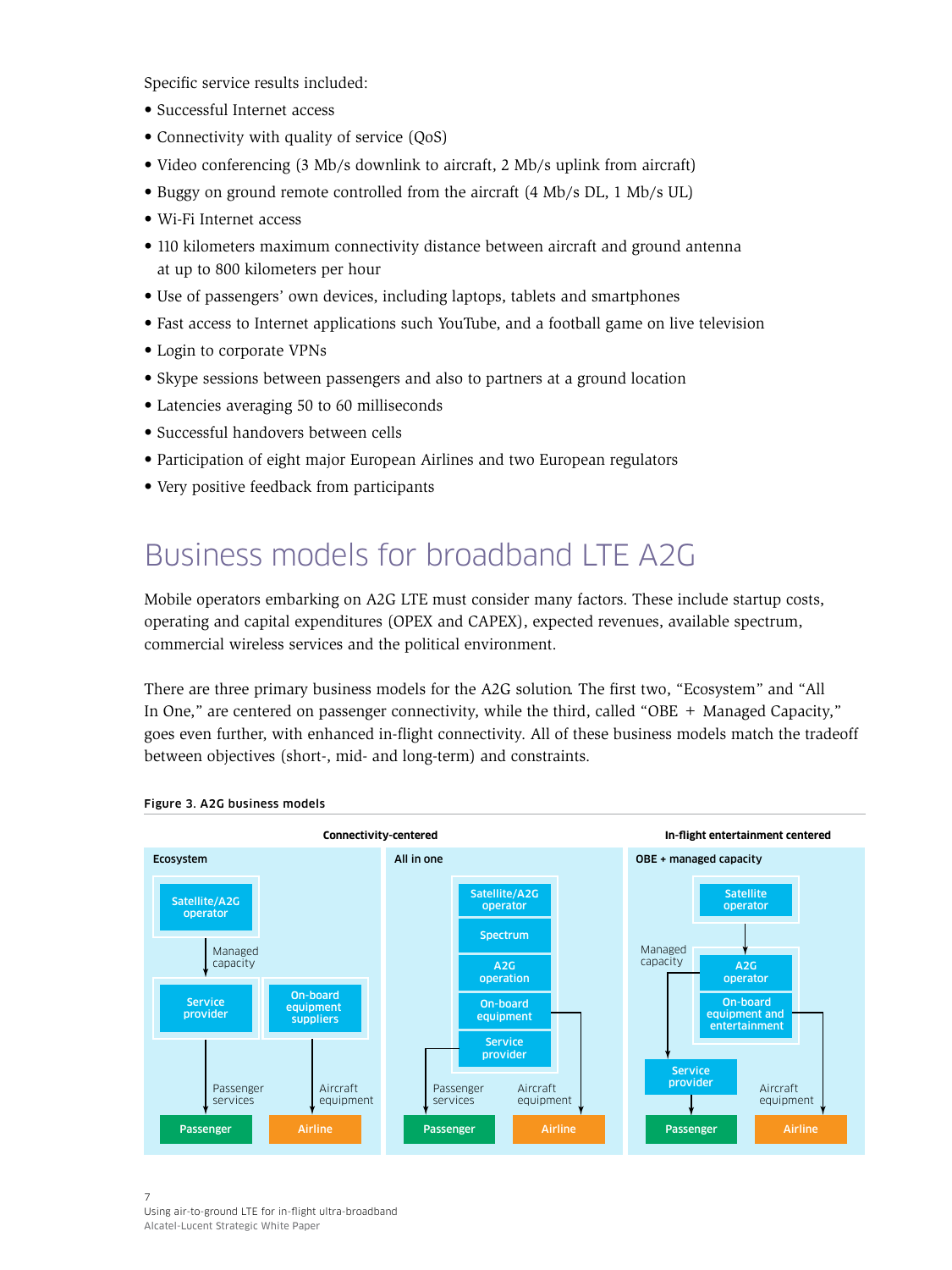<span id="page-8-0"></span>Specific service results included:

- Successful Internet access
- Connectivity with quality of service (QoS)
- Video conferencing (3 Mb/s downlink to aircraft, 2 Mb/s uplink from aircraft)
- Buggy on ground remote controlled from the aircraft (4 Mb/s DL, 1 Mb/s UL)
- Wi-Fi Internet access
- 110 kilometers maximum connectivity distance between aircraft and ground antenna at up to 800 kilometers per hour
- Use of passengers' own devices, including laptops, tablets and smartphones
- Fast access to Internet applications such YouTube, and a football game on live television
- Login to corporate VPNs
- Skype sessions between passengers and also to partners at a ground location
- Latencies averaging 50 to 60 milliseconds
- Successful handovers between cells
- Participation of eight major European Airlines and two European regulators
- Very positive feedback from participants

### Business models for broadband LTE A2G

Mobile operators embarking on A2G LTE must consider many factors. These include startup costs, operating and capital expenditures (OPEX and CAPEX), expected revenues, available spectrum, commercial wireless services and the political environment.

There are three primary business models for the A2G solution. The first two, "Ecosystem" and "All In One," are centered on passenger connectivity, while the third, called "OBE + Managed Capacity," goes even further, with enhanced in-flight connectivity. All of these business models match the tradeoff between objectives (short-, mid- and long-term) and constraints.



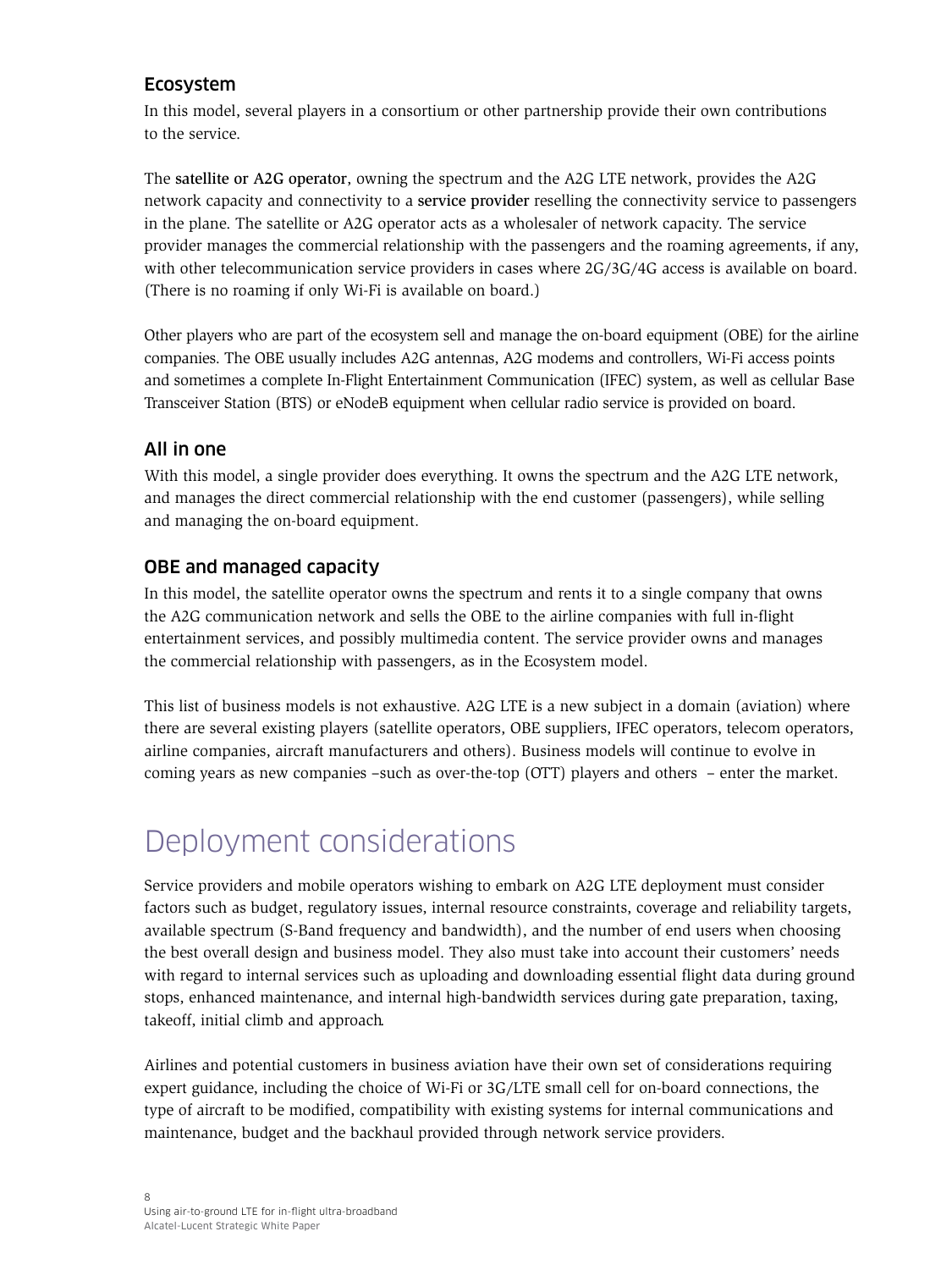#### <span id="page-9-0"></span>Ecosystem

In this model, several players in a consortium or other partnership provide their own contributions to the service.

The satellite or A2G operator, owning the spectrum and the A2G LTE network, provides the A2G network capacity and connectivity to a service provider reselling the connectivity service to passengers in the plane. The satellite or A2G operator acts as a wholesaler of network capacity. The service provider manages the commercial relationship with the passengers and the roaming agreements, if any, with other telecommunication service providers in cases where  $2G/3G/4G$  access is available on board. (There is no roaming if only Wi-Fi is available on board.)

Other players who are part of the ecosystem sell and manage the on-board equipment (OBE) for the airline companies. The OBE usually includes A2G antennas, A2G modems and controllers, Wi-Fi access points and sometimes a complete In-Flight Entertainment Communication (IFEC) system, as well as cellular Base Transceiver Station (BTS) or eNodeB equipment when cellular radio service is provided on board.

#### All in one

With this model, a single provider does everything. It owns the spectrum and the A2G LTE network, and manages the direct commercial relationship with the end customer (passengers), while selling and managing the on-board equipment.

#### OBE and managed capacity

In this model, the satellite operator owns the spectrum and rents it to a single company that owns the A2G communication network and sells the OBE to the airline companies with full in-flight entertainment services, and possibly multimedia content. The service provider owns and manages the commercial relationship with passengers, as in the Ecosystem model.

This list of business models is not exhaustive. A2G LTE is a new subject in a domain (aviation) where there are several existing players (satellite operators, OBE suppliers, IFEC operators, telecom operators, airline companies, aircraft manufacturers and others). Business models will continue to evolve in coming years as new companies –such as over-the-top (OTT) players and others – enter the market.

### Deployment considerations

Service providers and mobile operators wishing to embark on A2G LTE deployment must consider factors such as budget, regulatory issues, internal resource constraints, coverage and reliability targets, available spectrum (S-Band frequency and bandwidth), and the number of end users when choosing the best overall design and business model. They also must take into account their customers' needs with regard to internal services such as uploading and downloading essential flight data during ground stops, enhanced maintenance, and internal high-bandwidth services during gate preparation, taxing, takeoff, initial climb and approach.

Airlines and potential customers in business aviation have their own set of considerations requiring expert guidance, including the choice of Wi-Fi or 3G/LTE small cell for on-board connections, the type of aircraft to be modified, compatibility with existing systems for internal communications and maintenance, budget and the backhaul provided through network service providers.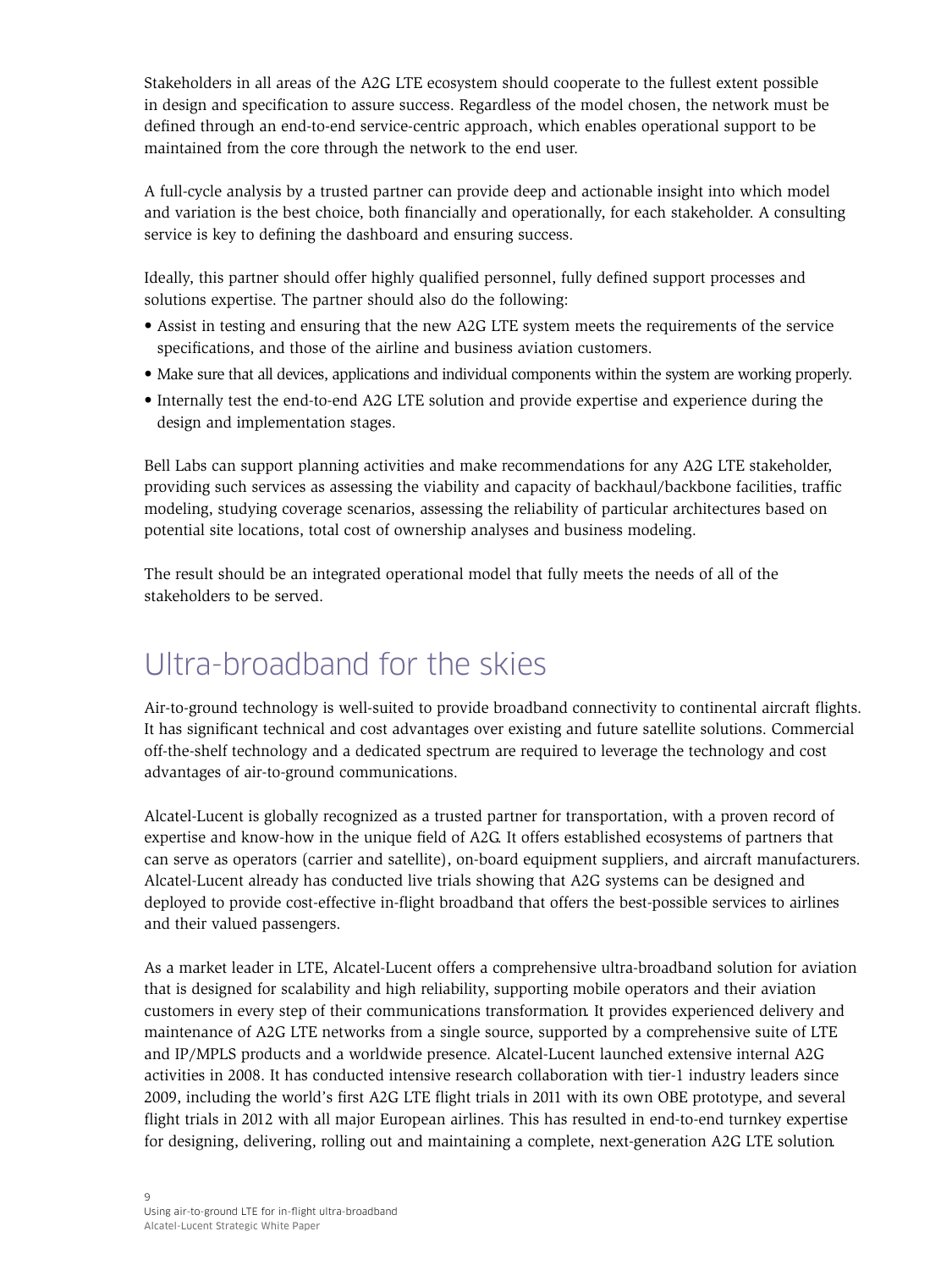<span id="page-10-0"></span>Stakeholders in all areas of the A2G LTE ecosystem should cooperate to the fullest extent possible in design and specification to assure success. Regardless of the model chosen, the network must be defined through an end-to-end service-centric approach, which enables operational support to be maintained from the core through the network to the end user.

A full-cycle analysis by a trusted partner can provide deep and actionable insight into which model and variation is the best choice, both financially and operationally, for each stakeholder. A consulting service is key to defining the dashboard and ensuring success.

Ideally, this partner should offer highly qualified personnel, fully defined support processes and solutions expertise. The partner should also do the following:

- Assist in testing and ensuring that the new A2G LTE system meets the requirements of the service specifications, and those of the airline and business aviation customers.
- Make sure that all devices, applications and individual components within the system are working properly.
- Internally test the end-to-end A2G LTE solution and provide expertise and experience during the design and implementation stages.

Bell Labs can support planning activities and make recommendations for any A2G LTE stakeholder, providing such services as assessing the viability and capacity of backhaul/backbone facilities, traffic modeling, studying coverage scenarios, assessing the reliability of particular architectures based on potential site locations, total cost of ownership analyses and business modeling.

The result should be an integrated operational model that fully meets the needs of all of the stakeholders to be served.

### Ultra-broadband for the skies

Air-to-ground technology is well-suited to provide broadband connectivity to continental aircraft flights. It has significant technical and cost advantages over existing and future satellite solutions. Commercial off-the-shelf technology and a dedicated spectrum are required to leverage the technology and cost advantages of air-to-ground communications.

Alcatel-Lucent is globally recognized as a trusted partner for transportation, with a proven record of expertise and know-how in the unique field of A2G. It offers established ecosystems of partners that can serve as operators (carrier and satellite), on-board equipment suppliers, and aircraft manufacturers. Alcatel-Lucent already has conducted live trials showing that A2G systems can be designed and deployed to provide cost-effective in-flight broadband that offers the best-possible services to airlines and their valued passengers.

As a market leader in LTE, Alcatel-Lucent offers a comprehensive ultra-broadband solution for aviation that is designed for scalability and high reliability, supporting mobile operators and their aviation customers in every step of their communications transformation. It provides experienced delivery and maintenance of A2G LTE networks from a single source, supported by a comprehensive suite of LTE and IP/MPLS products and a worldwide presence. Alcatel-Lucent launched extensive internal A2G activities in 2008. It has conducted intensive research collaboration with tier-1 industry leaders since 2009, including the world's first A2G LTE flight trials in 2011 with its own OBE prototype, and several flight trials in 2012 with all major European airlines. This has resulted in end-to-end turnkey expertise for designing, delivering, rolling out and maintaining a complete, next-generation A2G LTE solution.